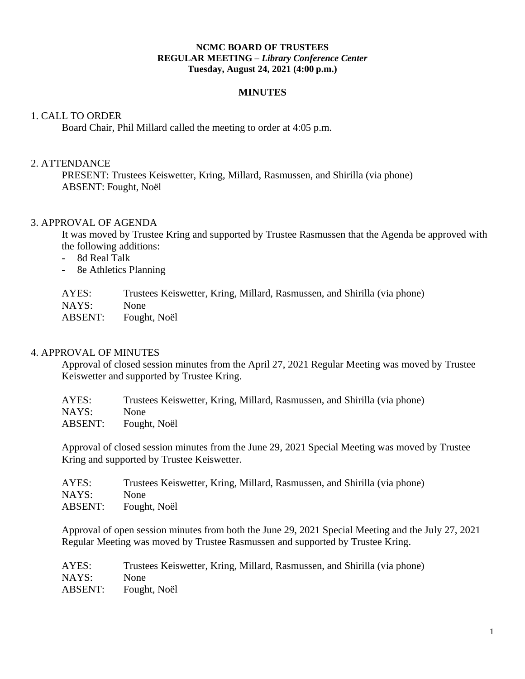#### **NCMC BOARD OF TRUSTEES REGULAR MEETING –** *Library Conference Center* **Tuesday, August 24, 2021 (4:00 p.m.)**

#### **MINUTES**

#### 1. CALL TO ORDER

Board Chair, Phil Millard called the meeting to order at 4:05 p.m.

#### 2. ATTENDANCE

PRESENT: Trustees Keiswetter, Kring, Millard, Rasmussen, and Shirilla (via phone) ABSENT: Fought, Noël

#### 3. APPROVAL OF AGENDA

It was moved by Trustee Kring and supported by Trustee Rasmussen that the Agenda be approved with the following additions:

- 8d Real Talk
- 8e Athletics Planning

| AYES:   | Trustees Keiswetter, Kring, Millard, Rasmussen, and Shirilla (via phone) |
|---------|--------------------------------------------------------------------------|
| NAYS:   | <b>None</b>                                                              |
| ABSENT: | Fought, Noël                                                             |

#### 4. APPROVAL OF MINUTES

Approval of closed session minutes from the April 27, 2021 Regular Meeting was moved by Trustee Keiswetter and supported by Trustee Kring.

| AYES:   | Trustees Keiswetter, Kring, Millard, Rasmussen, and Shirilla (via phone) |
|---------|--------------------------------------------------------------------------|
| NAYS:   | <b>None</b>                                                              |
| ABSENT: | Fought, Noël                                                             |

Approval of closed session minutes from the June 29, 2021 Special Meeting was moved by Trustee Kring and supported by Trustee Keiswetter.

| AYES:   | Trustees Keiswetter, Kring, Millard, Rasmussen, and Shirilla (via phone) |
|---------|--------------------------------------------------------------------------|
| NAYS:   | <b>None</b>                                                              |
| ABSENT: | Fought, Noël                                                             |

Approval of open session minutes from both the June 29, 2021 Special Meeting and the July 27, 2021 Regular Meeting was moved by Trustee Rasmussen and supported by Trustee Kring.

| AYES:   | Trustees Keiswetter, Kring, Millard, Rasmussen, and Shirilla (via phone) |
|---------|--------------------------------------------------------------------------|
| NAYS:   | <b>None</b>                                                              |
| ABSENT: | Fought, Noël                                                             |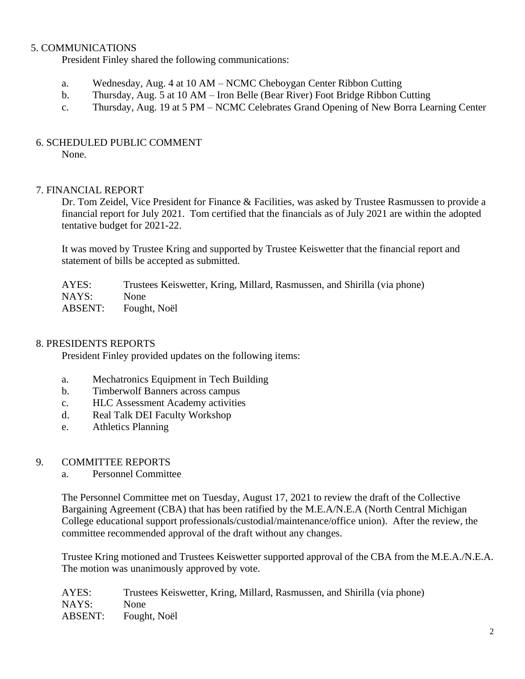## 5. COMMUNICATIONS

President Finley shared the following communications:

- a. Wednesday, Aug. 4 at 10 AM NCMC Cheboygan Center Ribbon Cutting
- b. Thursday, Aug. 5 at 10 AM Iron Belle (Bear River) Foot Bridge Ribbon Cutting
- c. Thursday, Aug. 19 at 5 PM NCMC Celebrates Grand Opening of New Borra Learning Center

## 6. SCHEDULED PUBLIC COMMENT

None.

## 7. FINANCIAL REPORT

Dr. Tom Zeidel, Vice President for Finance & Facilities, was asked by Trustee Rasmussen to provide a financial report for July 2021. Tom certified that the financials as of July 2021 are within the adopted tentative budget for 2021-22.

It was moved by Trustee Kring and supported by Trustee Keiswetter that the financial report and statement of bills be accepted as submitted.

AYES: Trustees Keiswetter, Kring, Millard, Rasmussen, and Shirilla (via phone) NAYS: None ABSENT: Fought, Noël

## 8. PRESIDENTS REPORTS

President Finley provided updates on the following items:

- a. Mechatronics Equipment in Tech Building
- b. Timberwolf Banners across campus
- c. HLC Assessment Academy activities
- d. Real Talk DEI Faculty Workshop
- e. Athletics Planning

## 9. COMMITTEE REPORTS

a. Personnel Committee

The Personnel Committee met on Tuesday, August 17, 2021 to review the draft of the Collective Bargaining Agreement (CBA) that has been ratified by the M.E.A/N.E.A (North Central Michigan College educational support professionals/custodial/maintenance/office union). After the review, the committee recommended approval of the draft without any changes.

Trustee Kring motioned and Trustees Keiswetter supported approval of the CBA from the M.E.A./N.E.A. The motion was unanimously approved by vote.

AYES: Trustees Keiswetter, Kring, Millard, Rasmussen, and Shirilla (via phone) NAYS: None ABSENT: Fought, Noël